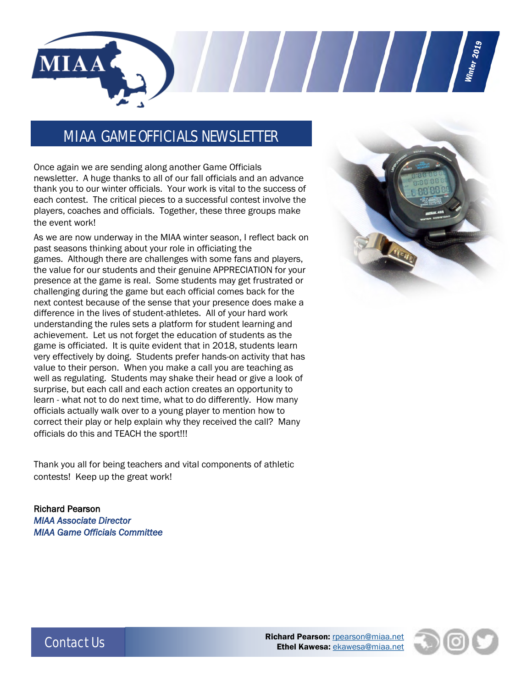

MIAA GAME OFFICIALS NEWSLETTER

Once again we are sending along another Game Officials newsletter. A huge thanks to all of our fall officials and an advance thank you to our winter officials. Your work is vital to the success of each contest. The critical pieces to a successful contest involve the players, coaches and officials. Together, these three groups make the event work!

As we are now underway in the MIAA winter season, I reflect back on past seasons thinking about your role in officiating the games. Although there are challenges with some fans and players, the value for our students and their genuine APPRECIATION for your presence at the game is real. Some students may get frustrated or challenging during the game but each official comes back for the next contest because of the sense that your presence does make a difference in the lives of student-athletes. All of your hard work understanding the rules sets a platform for student learning and achievement. Let us not forget the education of students as the game is officiated. It is quite evident that in 2018, students learn very effectively by doing. Students prefer hands-on activity that has value to their person. When you make a call you are teaching as well as regulating. Students may shake their head or give a look of surprise, but each call and each action creates an opportunity to learn - what not to do next time, what to do differently. How many officials actually walk over to a young player to mention how to correct their play or help explain why they received the call? Many officials do this and TEACH the sport!!!

Thank you all for being teachers and vital components of athletic contests! Keep up the great work!

Richard Pearson *MIAA Associate Director MIAA Game Officials Committee* 





Contact Us **Richard Pearson:** <u>[rpearson@miaa.net](mailto:rpearson@miaa.net)</u><br>Richard Pearson: <u>rpearson@miaa.net</u> Ethel Kawesa: [ekawesa@miaa.net](mailto:ekawesa@miaa.net)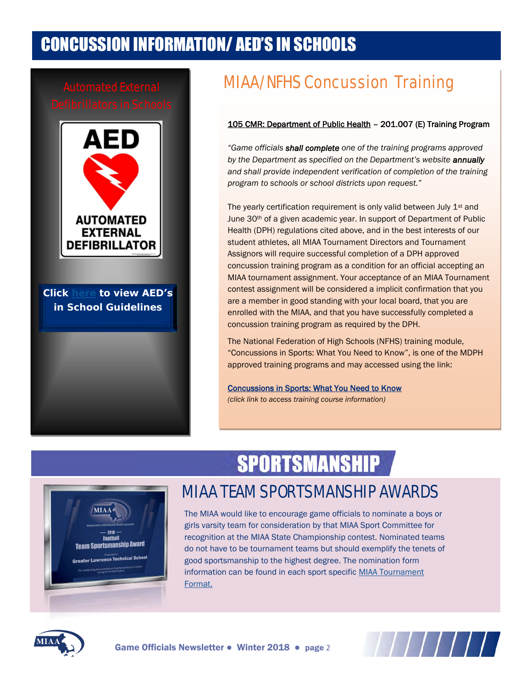# CONCUSSION INFORMATION/ AED'S IN SCHOOLS



Click [here to](http://www.miaa.net/contentm/easy_pages/view.php?sid=38&page_id=283) view AED's in **Click here to view AED's**  School Guidelines **in School Guidelin[e](http://www.miaa.net/contentm/easy_pages/view.php?sid=38&page_id=283)s**

# Automated External MIAA/NFHS Concussion Training

## 105 CMR: Department of Public Health – 201.007 (E) Training Program

*"Game officials shall complete one of the training programs approved by the Department as specified on the Department's website annually and shall provide independent verification of completion of the training program to schools or school districts upon request."*

The yearly certification requirement is only valid between July 1<sup>st</sup> and June 30th of a given academic year. In support of Department of Public Health (DPH) regulations cited above, and in the best interests of our student athletes, all MIAA Tournament Directors and Tournament Assignors will require successful completion of a DPH approved concussion training program as a condition for an official accepting an MIAA tournament assignment. Your acceptance of an MIAA Tournament contest assignment will be considered a implicit confirmation that you are a member in good standing with your local board, that you are enrolled with the MIAA, and that you have successfully completed a concussion training program as required by the DPH.

The National Federation of High Schools (NFHS) training module, "Concussions in Sports: What You Need to Know", is one of the MDPH approved training programs and may accessed using the link:

[Concussions in Sports: What You Need to Know](https://nfhslearn.com/courses/61151/concussion-in-sports) *(click link to access training course information)*

# **SPORTSMANSHIP**



## MIAA TEAM SPORTSMANSHIP AWARDS

The MIAA would like to encourage game officials to nominate a boys or girls varsity team for consideration by that MIAA Sport Committee for recognition at the MIAA State Championship contest. Nominated teams do not have to be tournament teams but should exemplify the tenets of good sportsmanship to the highest degree. The nomination form information can be found in each sport specific MIAA Tournament [Format.](http://www.miaa.net/contentm/easy_pages/view.php?page_id=22&sid=38&menu_id=207)



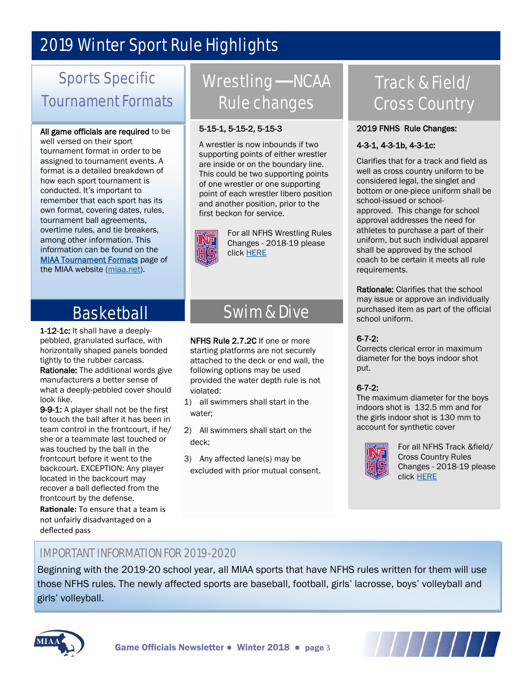# 2019 Winter Sport Rule Highlights

# Sports Specific Tournament Formats

### All game officials are required to be well versed on their sport

tournament format in order to be assigned to tournament events. A format is a detailed breakdown of how each sport tournament is conducted. It's important to remember that each sport has its own format, covering dates, rules, tournament ball agreements, overtime rules, and tie breakers, among other information. This information can be found on the **MIAA Tournament Formats** page of the MIAA website [\(miaa.net\)](http://www.miaa.net/miaa/home?sid=38).

## Wrestling - NCAA Rule changes

## 5-15-1, 5-15-2, 5-15-3

A wrestler is now inbounds if two supporting points of either wrestler are inside or on the boundary line. This could be two supporting points of one wrestler or one supporting point of each wrestler libero position and another position, prior to the first beckon for service.



For all NFHS Wrestling Rules Changes - 2018-19 please click [HERE](http://www.nfhs.org/sports-resource-content/wrestling-rules-changes-2018-19/)

## Basketball

**1**-12-1c: It shall have a deeplypebbled, granulated surface, with horizontally shaped panels bonded tightly to the rubber carcass.

Rationale: The additional words give manufacturers a better sense of what a deeply-pebbled cover should look like.

9-9-1: A player shall not be the first to touch the ball after it has been in team control in the frontcourt, if he/ she or a teammate last touched or was touched by the ball in the frontcourt before it went to the backcourt. EXCEPTION: Any player located in the backcourt may recover a ball deflected from the frontcourt by the defense.

**Rationale:** To ensure that a team is not unfairly disadvantaged on a deflected pass

# Swim & Dive

NFHS Rule 2.7.2C If one or more starting platforms are not securely attached to the deck or end wall, the following options may be used provided the water depth rule is not violated:

- 1) all swimmers shall start in the water;
- 2) All swimmers shall start on the deck;
- 3) Any affected lane(s) may be excluded with prior mutual consent.

# Track & Field/ Cross Country

## 2019 FNHS Rule Changes:

## 4-3-1, 4-3-1b, 4-3-1c:

Clarifies that for a track and field as well as cross country uniform to be considered legal, the singlet and bottom or one-piece uniform shall be school-issued or schoolapproved. This change for school approval addresses the need for athletes to purchase a part of their uniform, but such individual apparel shall be approved by the school coach to be certain it meets all rule requirements.

Rationale: Clarifies that the school may issue or approve an individually purchased item as part of the official school uniform.

## 6-7-2:

Corrects clerical error in maximum diameter for the boys indoor shot put.

## 6-7-2:

The maximum diameter for the boys indoors shot is 132.5 mm and for the girls indoor shot is 130 mm to account for synthetic cover



For all NFHS Track &field/ Cross Country Rules Changes - 2018-19 please click [HERE](http://www.msn.com/?cobrand=dell13.msn.com&ocid=DELLDHP&pc=MDDCJS)

## IMPORTANT INFORMATION FOR 2019-2020

Beginning with the 2019-20 school year, all MIAA sports that have NFHS rules written for them will use those NFHS rules. The newly affected sports are baseball, football, girls' lacrosse, boys' volleyball and girls' volleyball.



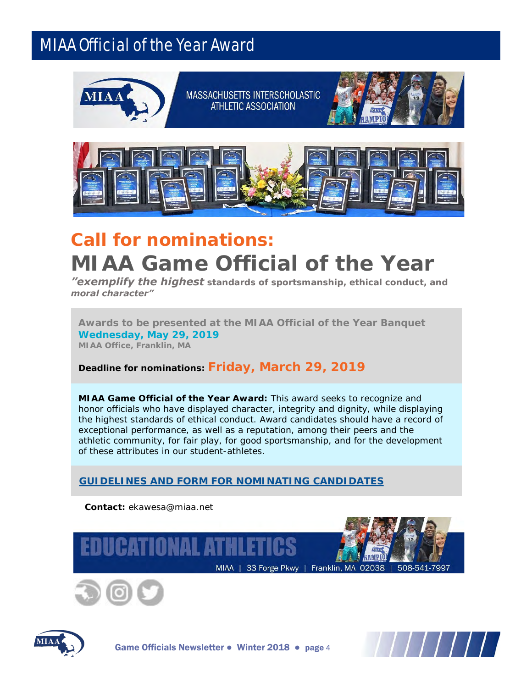## MIAA Official of the Year Award



MASSACHUSETTS INTERSCHOLASTIC **ATHLETIC ASSOCIATION** 





# *Call for nominations:* **MIAA Game Official of the Year**

*"exemplify the highest standards of sportsmanship, ethical conduct, and moral character"*

**Awards to be presented at the MIAA Official of the Year Banquet Wednesday, May 29, 2019** *MIAA Office, Franklin, MA*

**Deadline for nominations:** *Friday, March 29, 2019*

**MIAA Game Official of the Year Award:** This award seeks to recognize and honor officials who have displayed character, integrity and dignity, while displaying the highest standards of ethical conduct. Award candidates should have a record of exceptional performance, as well as a reputation, among their peers and the athletic community, for fair play, for good sportsmanship, and for the development of these attributes in our student-athletes.

**[GUIDELINES AND FORM FOR NOMINATING CANDIDATES](http://miaa.net/gen/miaa_generated_bin/documents/basic_module/officialofyearnominationform1819.pdf)**







Game Officials Newsletter • Winter 2018 • page 4

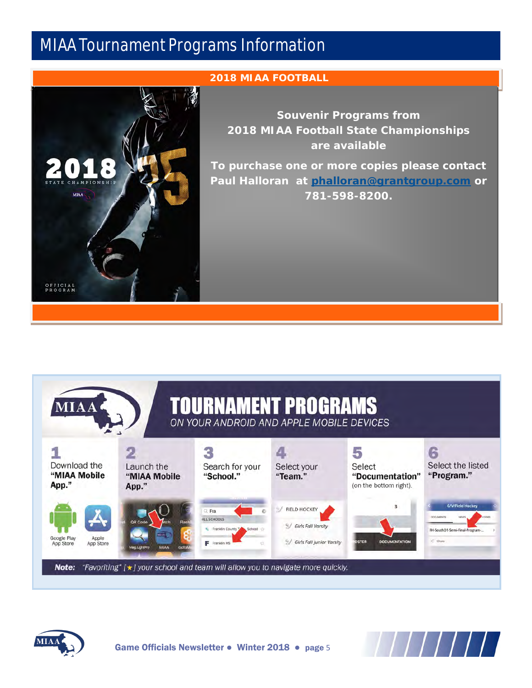## MIAA Tournament Programs Information



## **2018 MIAA FOOTBALL**

**Souvenir Programs from 2018 MIAA Football State Championships are available** 

**To purchase one or more copies please contact Paul Halloran at [phalloran@grantgroup.com](mailto:phalloran@grantgroup.com) or 781-598-8200.** 







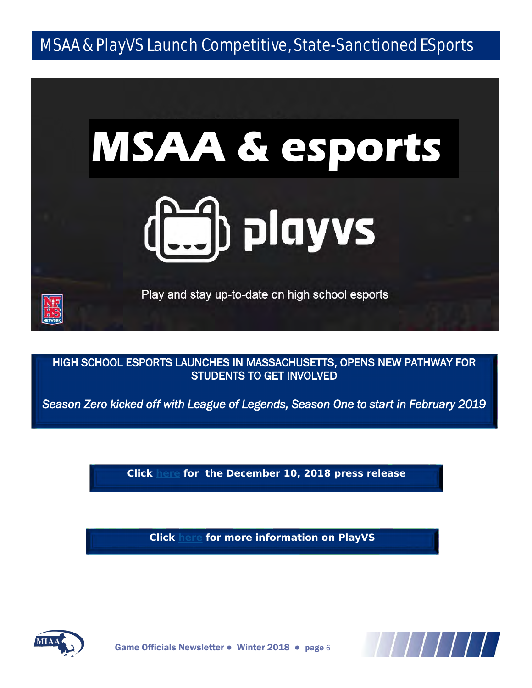## MSAA & PlayVS Launch Competitive, State-Sanctioned ESports

# **MSAA & esports Ed playvs**

Play and stay up-to-date on high school esports

HIGH SCHOOL ESPORTS LAUNCHES IN MASSACHUSETTS, OPENS NEW PATHWAY FOR STUDENTS TO GET INVOLVED

*Season Zero kicked off with League of Legends, Season One to start in February 2019* 

**Click [here](http://miaa.net/gen/miaa_generated_bin/documents/basic_module/Newsletter_MSAA_and_PlayVS_Introduce_esports__12102018.pdf) for the December 10, 2018 press release**

**Click [here f](http://mssaa.org/contentm/easy_pages/view.php?page_id=46&sid=35&menu_id=189)or more information on PlayVS** 



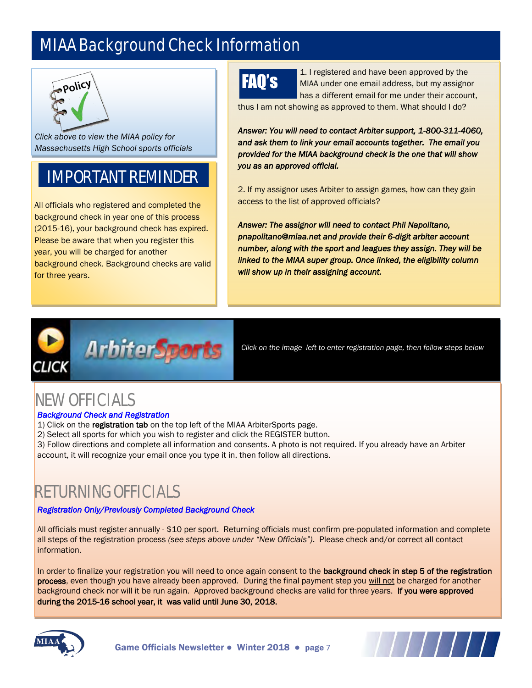# MIAA Background Check Information



*Clic[k above to view th](http://www.miaa.net/gen/miaa_generated_bin/documents/basic_module/MIAA_policy_back_check_FINAL_6115.pdf)e MIAA policy for Massachusetts High School sports officials* 

# IMPORTANT REMINDER

All officials who registered and completed the background check in year one of this process (2015-16), your background check has expired. Please be aware that when you register this year, you will be charged for another background check. Background checks are valid for three years.

# FAQ's

1. I registered and have been approved by the MIAA under one email address, but my assignor has a different email for me under their account,

thus I am not showing as approved to them. What should I do?

*Answer: You will need to contact Arbiter support, 1-800-311-4060, and ask them to link your email accounts together. The email you provided for the MIAA background check is the one that will show you as an approved official.* 

2. If my assignor uses Arbiter to assign games, how can they gain access to the list of approved officials?

*Answer: The assignor will need to contact Phil Napolitano, pnapolitano@miaa.net and provide their 6-digit arbiter account number, along with the sport and leagues they assign. They will be linked to the MIAA super group. Once linked, the eligibility column will show up in their assigning account.*



*Click on the image left to enter registration page, then follow steps below*

## NEW OFFICIALS

## *Background Check and Registration*

- 1) Click on the registration tab on the top left of the MIAA ArbiterSports page.
- 2) Select all sports for which you wish to register and click the REGISTER button.
- 3) Follow directions and complete all information and consents. A photo is not required. If you already have an Arbiter account, it will recognize your email once you type it in, then follow all directions.

## RETURNING OFFICIALS

## *Registration Only/Previously Completed Background Check*

All officials must register annually - \$10 per sport. Returning officials must confirm pre-populated information and complete all steps of the registration process *(see steps above under "New Officials")*. Please check and/or correct all contact information.

In order to finalize your registration you will need to once again consent to the background check in step 5 of the registration process, even though you have already been approved. During the final payment step you will not be charged for another background check nor will it be run again. Approved background checks are valid for three years. If you were approved during the 2015-16 school year, it was valid until June 30, 2018.





Game Officials Newsletter • Winter 2018 • page 7